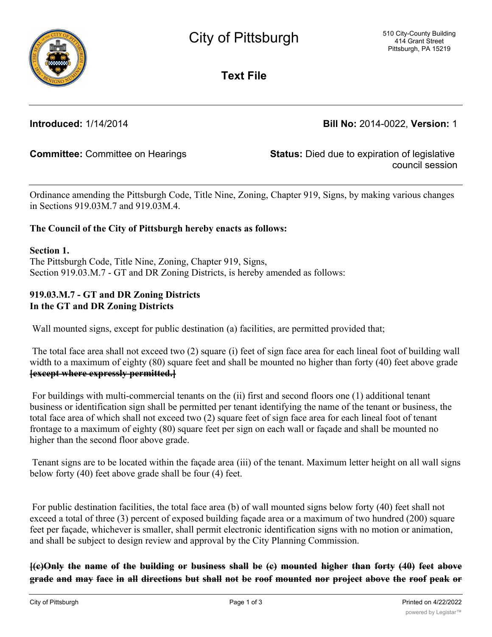**Text File**

**Introduced:** 1/14/2014 **Bill No:** 2014-0022, **Version:** 1

**Committee:** Committee on Hearings **Status:** Died due to expiration of legislative council session

Ordinance amending the Pittsburgh Code, Title Nine, Zoning, Chapter 919, Signs, by making various changes in Sections 919.03M.7 and 919.03M.4.

## **The Council of the City of Pittsburgh hereby enacts as follows:**

**Section 1.**

The Pittsburgh Code, Title Nine, Zoning, Chapter 919, Signs, Section 919.03.M.7 - GT and DR Zoning Districts, is hereby amended as follows:

## **919.03.M.7 - GT and DR Zoning Districts In the GT and DR Zoning Districts**

Wall mounted signs, except for public destination (a) facilities, are permitted provided that;

 The total face area shall not exceed two (2) square (i) feet of sign face area for each lineal foot of building wall width to a maximum of eighty (80) square feet and shall be mounted no higher than forty (40) feet above grade **[except where expressly permitted.]**

 For buildings with multi-commercial tenants on the (ii) first and second floors one (1) additional tenant business or identification sign shall be permitted per tenant identifying the name of the tenant or business, the total face area of which shall not exceed two (2) square feet of sign face area for each lineal foot of tenant frontage to a maximum of eighty (80) square feet per sign on each wall or façade and shall be mounted no higher than the second floor above grade.

 Tenant signs are to be located within the façade area (iii) of the tenant. Maximum letter height on all wall signs below forty (40) feet above grade shall be four (4) feet.

 For public destination facilities, the total face area (b) of wall mounted signs below forty (40) feet shall not exceed a total of three (3) percent of exposed building façade area or a maximum of two hundred (200) square feet per façade, whichever is smaller, shall permit electronic identification signs with no motion or animation, and shall be subject to design review and approval by the City Planning Commission.

(e)Only the name of the building or business shall be (e) mounted higher than forty (40) feet above grade and may face in all directions but shall not be roof mounted nor project above the roof peak or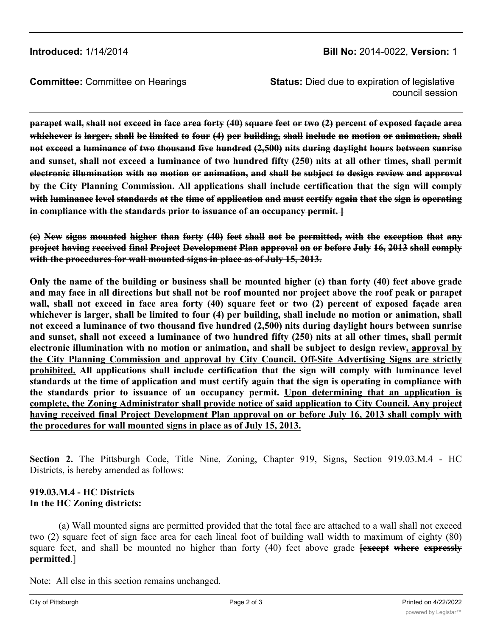**Committee:** Committee on Hearings **Status:** Died due to expiration of legislative council session

parapet wall, shall not exceed in face area forty (40) square feet or two (2) percent of exposed façade area whichever is larger, shall be limited to four (4) per building, shall include no motion or animation, shall **not exceed a luminance of two thousand five hundred (2,500) nits during daylight hours between sunrise** and sunset, shall not exceed a luminance of two hundred fifty (250) nits at all other times, shall permit **electronic illumination with no motion or animation, and shall be subject to design review and approval by the City Planning Commission. All applications shall include certification that the sign will comply** with luminance level standards at the time of application and must certify again that the sign is operating **in compliance with the standards prior to issuance of an occupancy permit. ]**

(e) New signs mounted higher than forty (40) feet shall not be permitted, with the exception that any **project having received final Project Development Plan approval on or before July 16, 2013 shall comply with the procedures for wall mounted signs in place as of July 15, 2013.**

Only the name of the building or business shall be mounted higher (c) than forty (40) feet above grade and may face in all directions but shall not be roof mounted nor project above the roof peak or parapet wall, shall not exceed in face area forty (40) square feet or two (2) percent of exposed façade area whichever is larger, shall be limited to four (4) per building, shall include no motion or animation, shall **not exceed a luminance of two thousand five hundred (2,500) nits during daylight hours between sunrise** and sunset, shall not exceed a luminance of two hundred fifty (250) nits at all other times, shall permit **electronic illumination with no motion or animation, and shall be subject to design review, approval by the City Planning Commission and approval by City Council. Off-Site Advertising Signs are strictly prohibited. All applications shall include certification that the sign will comply with luminance level** standards at the time of application and must certify again that the sign is operating in compliance with **the standards prior to issuance of an occupancy permit. Upon determining that an application is complete, the Zoning Administrator shall provide notice of said application to City Council. Any project having received final Project Development Plan approval on or before July 16, 2013 shall comply with the procedures for wall mounted signs in place as of July 15, 2013.**

**Section 2.** The Pittsburgh Code, Title Nine, Zoning, Chapter 919, Signs**,** Section 919.03.M.4 - HC Districts, is hereby amended as follows:

## **919.03.M.4 - HC Districts In the HC Zoning districts:**

(a) Wall mounted signs are permitted provided that the total face are attached to a wall shall not exceed two (2) square feet of sign face area for each lineal foot of building wall width to maximum of eighty (80) square feet, and shall be mounted no higher than forty (40) feet above grade **[except where expressly permitted**.]

Note: All else in this section remains unchanged.